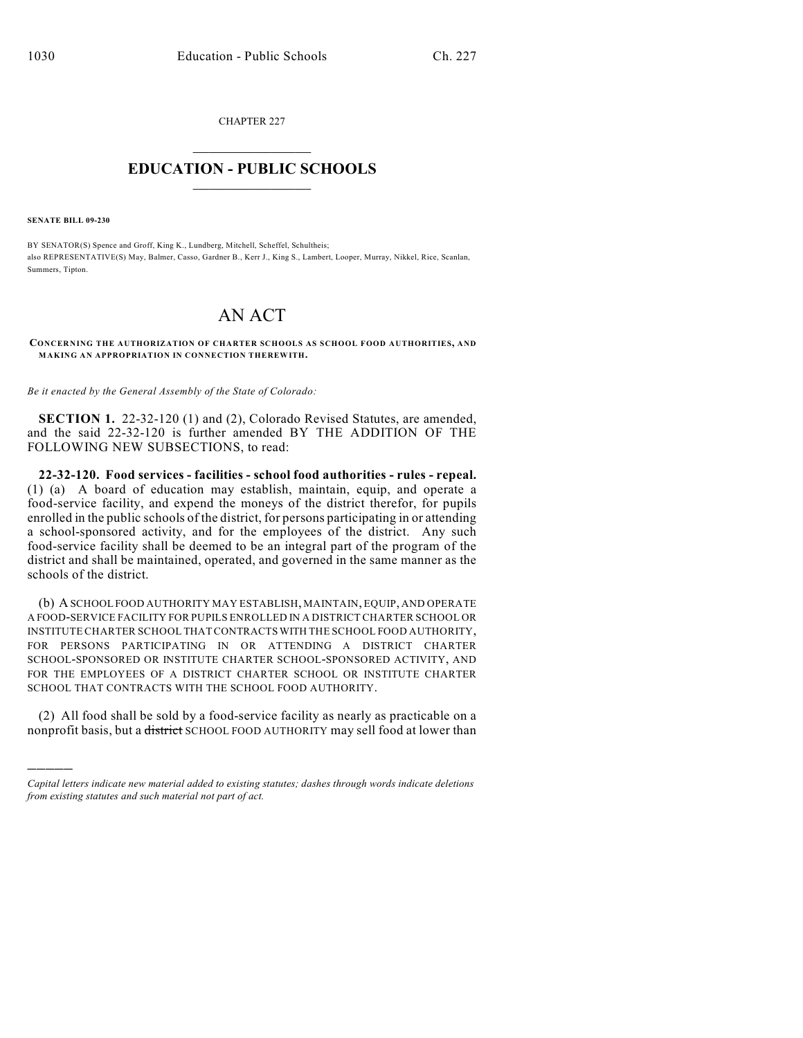CHAPTER 227  $\mathcal{L}_\text{max}$  . The set of the set of the set of the set of the set of the set of the set of the set of the set of the set of the set of the set of the set of the set of the set of the set of the set of the set of the set

## **EDUCATION - PUBLIC SCHOOLS**  $\_$   $\_$   $\_$   $\_$   $\_$   $\_$   $\_$   $\_$   $\_$

**SENATE BILL 09-230**

)))))

BY SENATOR(S) Spence and Groff, King K., Lundberg, Mitchell, Scheffel, Schultheis; also REPRESENTATIVE(S) May, Balmer, Casso, Gardner B., Kerr J., King S., Lambert, Looper, Murray, Nikkel, Rice, Scanlan, Summers, Tipton.

## AN ACT

**CONCERNING THE AUTHORIZATION OF CHARTER SCHOOLS AS SCHOOL FOOD AUTHORITIES, AND MAKING AN APPROPRIATION IN CONNECTION THEREWITH.**

*Be it enacted by the General Assembly of the State of Colorado:*

**SECTION 1.** 22-32-120 (1) and (2), Colorado Revised Statutes, are amended, and the said 22-32-120 is further amended BY THE ADDITION OF THE FOLLOWING NEW SUBSECTIONS, to read:

**22-32-120. Food services - facilities - school food authorities - rules - repeal.** (1) (a) A board of education may establish, maintain, equip, and operate a food-service facility, and expend the moneys of the district therefor, for pupils enrolled in the public schools of the district, for persons participating in or attending a school-sponsored activity, and for the employees of the district. Any such food-service facility shall be deemed to be an integral part of the program of the district and shall be maintained, operated, and governed in the same manner as the schools of the district.

(b) A SCHOOL FOOD AUTHORITY MAY ESTABLISH, MAINTAIN, EQUIP, AND OPERATE A FOOD-SERVICE FACILITY FOR PUPILS ENROLLED IN A DISTRICT CHARTER SCHOOL OR INSTITUTE CHARTER SCHOOL THAT CONTRACTS WITH THE SCHOOL FOOD AUTHORITY, FOR PERSONS PARTICIPATING IN OR ATTENDING A DISTRICT CHARTER SCHOOL-SPONSORED OR INSTITUTE CHARTER SCHOOL-SPONSORED ACTIVITY, AND FOR THE EMPLOYEES OF A DISTRICT CHARTER SCHOOL OR INSTITUTE CHARTER SCHOOL THAT CONTRACTS WITH THE SCHOOL FOOD AUTHORITY.

(2) All food shall be sold by a food-service facility as nearly as practicable on a nonprofit basis, but a district SCHOOL FOOD AUTHORITY may sell food at lower than

*Capital letters indicate new material added to existing statutes; dashes through words indicate deletions from existing statutes and such material not part of act.*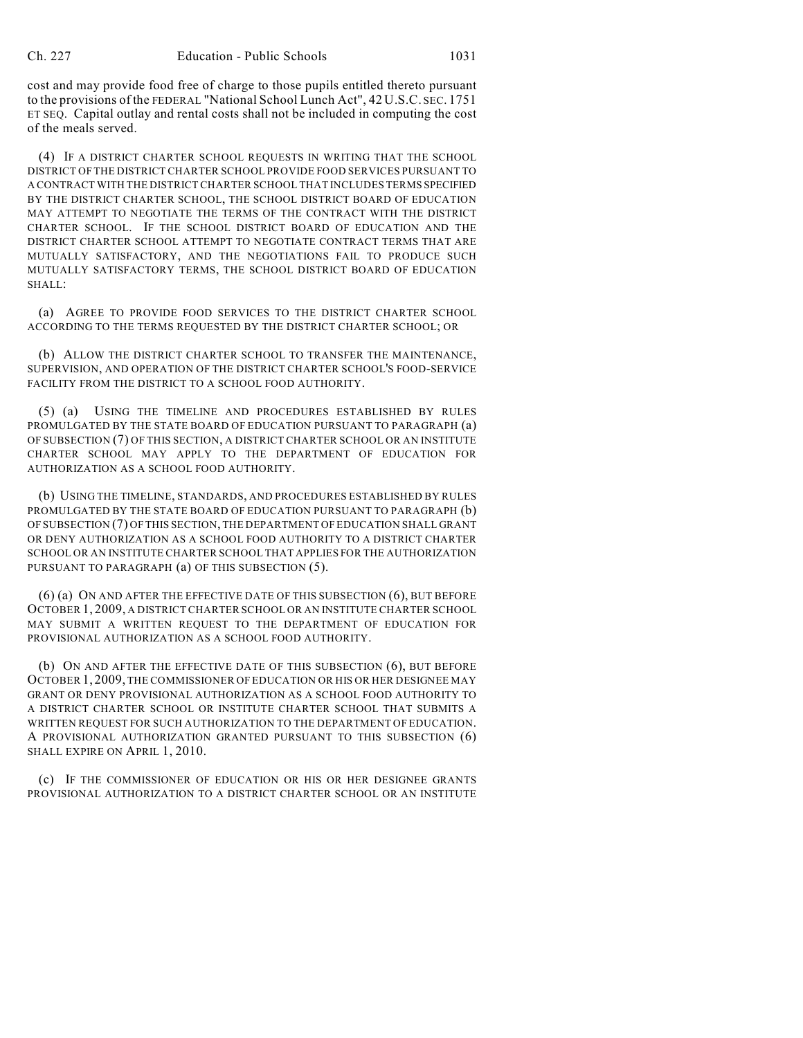cost and may provide food free of charge to those pupils entitled thereto pursuant to the provisions of the FEDERAL "National School Lunch Act", 42 U.S.C. SEC. 1751 ET SEQ. Capital outlay and rental costs shall not be included in computing the cost of the meals served.

(4) IF A DISTRICT CHARTER SCHOOL REQUESTS IN WRITING THAT THE SCHOOL DISTRICT OF THE DISTRICT CHARTER SCHOOL PROVIDE FOOD SERVICES PURSUANT TO A CONTRACT WITH THE DISTRICT CHARTER SCHOOL THAT INCLUDES TERMS SPECIFIED BY THE DISTRICT CHARTER SCHOOL, THE SCHOOL DISTRICT BOARD OF EDUCATION MAY ATTEMPT TO NEGOTIATE THE TERMS OF THE CONTRACT WITH THE DISTRICT CHARTER SCHOOL. IF THE SCHOOL DISTRICT BOARD OF EDUCATION AND THE DISTRICT CHARTER SCHOOL ATTEMPT TO NEGOTIATE CONTRACT TERMS THAT ARE MUTUALLY SATISFACTORY, AND THE NEGOTIATIONS FAIL TO PRODUCE SUCH MUTUALLY SATISFACTORY TERMS, THE SCHOOL DISTRICT BOARD OF EDUCATION SHALL:

(a) AGREE TO PROVIDE FOOD SERVICES TO THE DISTRICT CHARTER SCHOOL ACCORDING TO THE TERMS REQUESTED BY THE DISTRICT CHARTER SCHOOL; OR

(b) ALLOW THE DISTRICT CHARTER SCHOOL TO TRANSFER THE MAINTENANCE, SUPERVISION, AND OPERATION OF THE DISTRICT CHARTER SCHOOL'S FOOD-SERVICE FACILITY FROM THE DISTRICT TO A SCHOOL FOOD AUTHORITY.

(5) (a) USING THE TIMELINE AND PROCEDURES ESTABLISHED BY RULES PROMULGATED BY THE STATE BOARD OF EDUCATION PURSUANT TO PARAGRAPH (a) OF SUBSECTION (7) OF THIS SECTION, A DISTRICT CHARTER SCHOOL OR AN INSTITUTE CHARTER SCHOOL MAY APPLY TO THE DEPARTMENT OF EDUCATION FOR AUTHORIZATION AS A SCHOOL FOOD AUTHORITY.

(b) USING THE TIMELINE, STANDARDS, AND PROCEDURES ESTABLISHED BY RULES PROMULGATED BY THE STATE BOARD OF EDUCATION PURSUANT TO PARAGRAPH (b) OF SUBSECTION (7) OF THIS SECTION, THE DEPARTMENT OF EDUCATION SHALL GRANT OR DENY AUTHORIZATION AS A SCHOOL FOOD AUTHORITY TO A DISTRICT CHARTER SCHOOL OR AN INSTITUTE CHARTER SCHOOL THAT APPLIES FOR THE AUTHORIZATION PURSUANT TO PARAGRAPH (a) OF THIS SUBSECTION (5).

(6) (a) ON AND AFTER THE EFFECTIVE DATE OF THIS SUBSECTION (6), BUT BEFORE OCTOBER 1, 2009, A DISTRICT CHARTER SCHOOL OR AN INSTITUTE CHARTER SCHOOL MAY SUBMIT A WRITTEN REQUEST TO THE DEPARTMENT OF EDUCATION FOR PROVISIONAL AUTHORIZATION AS A SCHOOL FOOD AUTHORITY.

(b) ON AND AFTER THE EFFECTIVE DATE OF THIS SUBSECTION (6), BUT BEFORE OCTOBER 1, 2009, THE COMMISSIONER OF EDUCATION OR HIS OR HER DESIGNEE MAY GRANT OR DENY PROVISIONAL AUTHORIZATION AS A SCHOOL FOOD AUTHORITY TO A DISTRICT CHARTER SCHOOL OR INSTITUTE CHARTER SCHOOL THAT SUBMITS A WRITTEN REQUEST FOR SUCH AUTHORIZATION TO THE DEPARTMENT OF EDUCATION. A PROVISIONAL AUTHORIZATION GRANTED PURSUANT TO THIS SUBSECTION (6) SHALL EXPIRE ON APRIL 1, 2010.

(c) IF THE COMMISSIONER OF EDUCATION OR HIS OR HER DESIGNEE GRANTS PROVISIONAL AUTHORIZATION TO A DISTRICT CHARTER SCHOOL OR AN INSTITUTE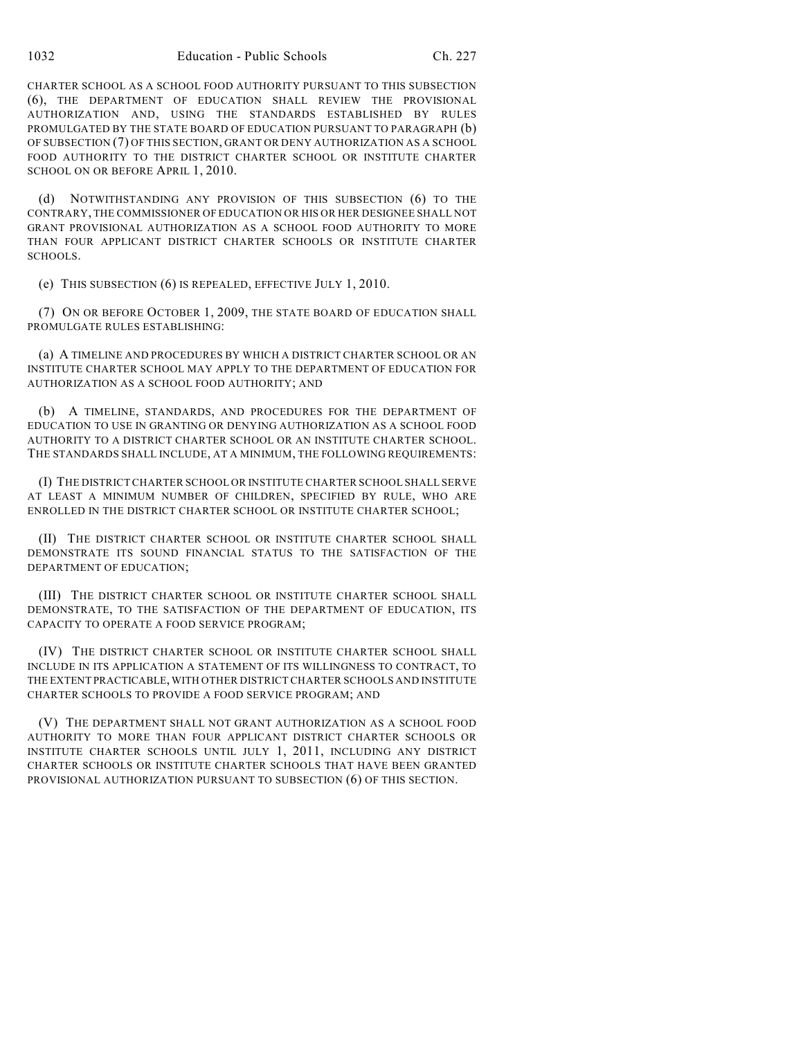CHARTER SCHOOL AS A SCHOOL FOOD AUTHORITY PURSUANT TO THIS SUBSECTION (6), THE DEPARTMENT OF EDUCATION SHALL REVIEW THE PROVISIONAL AUTHORIZATION AND, USING THE STANDARDS ESTABLISHED BY RULES PROMULGATED BY THE STATE BOARD OF EDUCATION PURSUANT TO PARAGRAPH (b) OF SUBSECTION (7) OF THIS SECTION, GRANT OR DENY AUTHORIZATION AS A SCHOOL FOOD AUTHORITY TO THE DISTRICT CHARTER SCHOOL OR INSTITUTE CHARTER SCHOOL ON OR BEFORE APRIL 1, 2010.

(d) NOTWITHSTANDING ANY PROVISION OF THIS SUBSECTION (6) TO THE CONTRARY, THE COMMISSIONER OF EDUCATION OR HIS OR HER DESIGNEE SHALL NOT GRANT PROVISIONAL AUTHORIZATION AS A SCHOOL FOOD AUTHORITY TO MORE THAN FOUR APPLICANT DISTRICT CHARTER SCHOOLS OR INSTITUTE CHARTER SCHOOLS.

(e) THIS SUBSECTION (6) IS REPEALED, EFFECTIVE JULY 1, 2010.

(7) ON OR BEFORE OCTOBER 1, 2009, THE STATE BOARD OF EDUCATION SHALL PROMULGATE RULES ESTABLISHING:

(a) A TIMELINE AND PROCEDURES BY WHICH A DISTRICT CHARTER SCHOOL OR AN INSTITUTE CHARTER SCHOOL MAY APPLY TO THE DEPARTMENT OF EDUCATION FOR AUTHORIZATION AS A SCHOOL FOOD AUTHORITY; AND

(b) A TIMELINE, STANDARDS, AND PROCEDURES FOR THE DEPARTMENT OF EDUCATION TO USE IN GRANTING OR DENYING AUTHORIZATION AS A SCHOOL FOOD AUTHORITY TO A DISTRICT CHARTER SCHOOL OR AN INSTITUTE CHARTER SCHOOL. THE STANDARDS SHALL INCLUDE, AT A MINIMUM, THE FOLLOWING REQUIREMENTS:

(I) THE DISTRICT CHARTER SCHOOL OR INSTITUTE CHARTER SCHOOL SHALL SERVE AT LEAST A MINIMUM NUMBER OF CHILDREN, SPECIFIED BY RULE, WHO ARE ENROLLED IN THE DISTRICT CHARTER SCHOOL OR INSTITUTE CHARTER SCHOOL;

(II) THE DISTRICT CHARTER SCHOOL OR INSTITUTE CHARTER SCHOOL SHALL DEMONSTRATE ITS SOUND FINANCIAL STATUS TO THE SATISFACTION OF THE DEPARTMENT OF EDUCATION;

(III) THE DISTRICT CHARTER SCHOOL OR INSTITUTE CHARTER SCHOOL SHALL DEMONSTRATE, TO THE SATISFACTION OF THE DEPARTMENT OF EDUCATION, ITS CAPACITY TO OPERATE A FOOD SERVICE PROGRAM;

(IV) THE DISTRICT CHARTER SCHOOL OR INSTITUTE CHARTER SCHOOL SHALL INCLUDE IN ITS APPLICATION A STATEMENT OF ITS WILLINGNESS TO CONTRACT, TO THE EXTENT PRACTICABLE, WITH OTHER DISTRICT CHARTER SCHOOLS AND INSTITUTE CHARTER SCHOOLS TO PROVIDE A FOOD SERVICE PROGRAM; AND

(V) THE DEPARTMENT SHALL NOT GRANT AUTHORIZATION AS A SCHOOL FOOD AUTHORITY TO MORE THAN FOUR APPLICANT DISTRICT CHARTER SCHOOLS OR INSTITUTE CHARTER SCHOOLS UNTIL JULY 1, 2011, INCLUDING ANY DISTRICT CHARTER SCHOOLS OR INSTITUTE CHARTER SCHOOLS THAT HAVE BEEN GRANTED PROVISIONAL AUTHORIZATION PURSUANT TO SUBSECTION (6) OF THIS SECTION.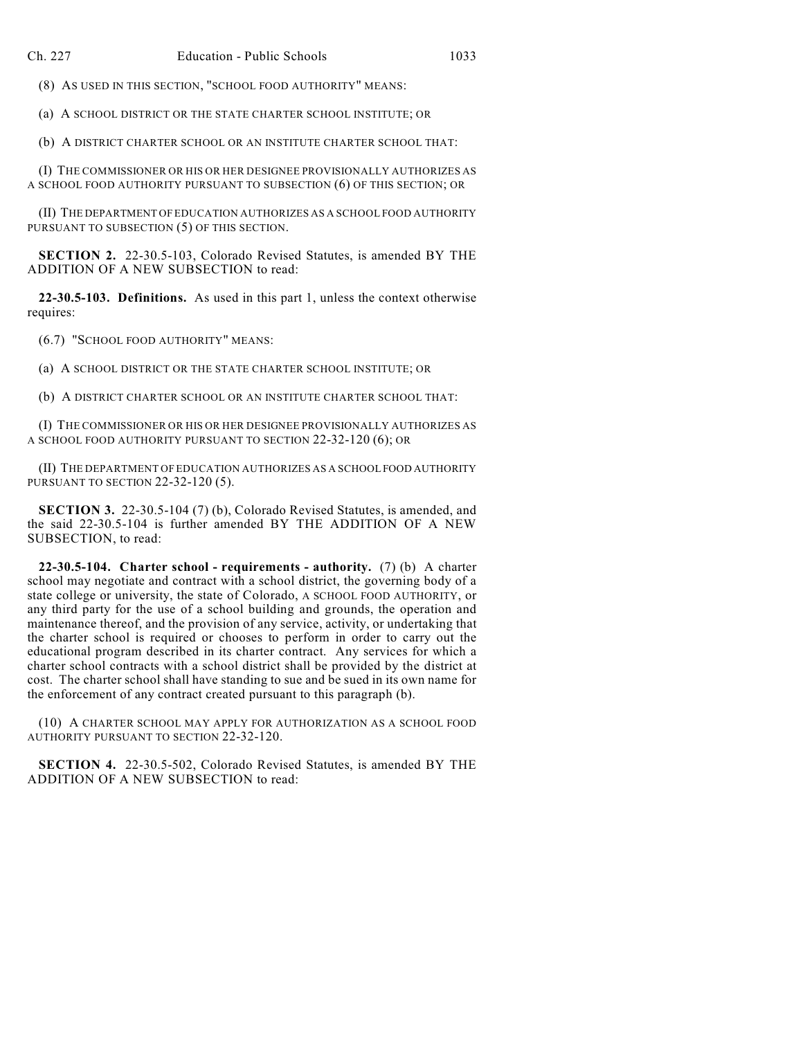(8) AS USED IN THIS SECTION, "SCHOOL FOOD AUTHORITY" MEANS:

(a) A SCHOOL DISTRICT OR THE STATE CHARTER SCHOOL INSTITUTE; OR

(b) A DISTRICT CHARTER SCHOOL OR AN INSTITUTE CHARTER SCHOOL THAT:

(I) THE COMMISSIONER OR HIS OR HER DESIGNEE PROVISIONALLY AUTHORIZES AS A SCHOOL FOOD AUTHORITY PURSUANT TO SUBSECTION (6) OF THIS SECTION; OR

(II) THE DEPARTMENT OF EDUCATION AUTHORIZES AS A SCHOOL FOOD AUTHORITY PURSUANT TO SUBSECTION (5) OF THIS SECTION.

**SECTION 2.** 22-30.5-103, Colorado Revised Statutes, is amended BY THE ADDITION OF A NEW SUBSECTION to read:

**22-30.5-103. Definitions.** As used in this part 1, unless the context otherwise requires:

(6.7) "SCHOOL FOOD AUTHORITY" MEANS:

(a) A SCHOOL DISTRICT OR THE STATE CHARTER SCHOOL INSTITUTE; OR

(b) A DISTRICT CHARTER SCHOOL OR AN INSTITUTE CHARTER SCHOOL THAT:

(I) THE COMMISSIONER OR HIS OR HER DESIGNEE PROVISIONALLY AUTHORIZES AS A SCHOOL FOOD AUTHORITY PURSUANT TO SECTION 22-32-120 (6); OR

(II) THE DEPARTMENT OF EDUCATION AUTHORIZES AS A SCHOOL FOOD AUTHORITY PURSUANT TO SECTION 22-32-120 (5).

**SECTION 3.** 22-30.5-104 (7) (b), Colorado Revised Statutes, is amended, and the said 22-30.5-104 is further amended BY THE ADDITION OF A NEW SUBSECTION, to read:

**22-30.5-104. Charter school - requirements - authority.** (7) (b) A charter school may negotiate and contract with a school district, the governing body of a state college or university, the state of Colorado, A SCHOOL FOOD AUTHORITY, or any third party for the use of a school building and grounds, the operation and maintenance thereof, and the provision of any service, activity, or undertaking that the charter school is required or chooses to perform in order to carry out the educational program described in its charter contract. Any services for which a charter school contracts with a school district shall be provided by the district at cost. The charter school shall have standing to sue and be sued in its own name for the enforcement of any contract created pursuant to this paragraph (b).

(10) A CHARTER SCHOOL MAY APPLY FOR AUTHORIZATION AS A SCHOOL FOOD AUTHORITY PURSUANT TO SECTION 22-32-120.

**SECTION 4.** 22-30.5-502, Colorado Revised Statutes, is amended BY THE ADDITION OF A NEW SUBSECTION to read: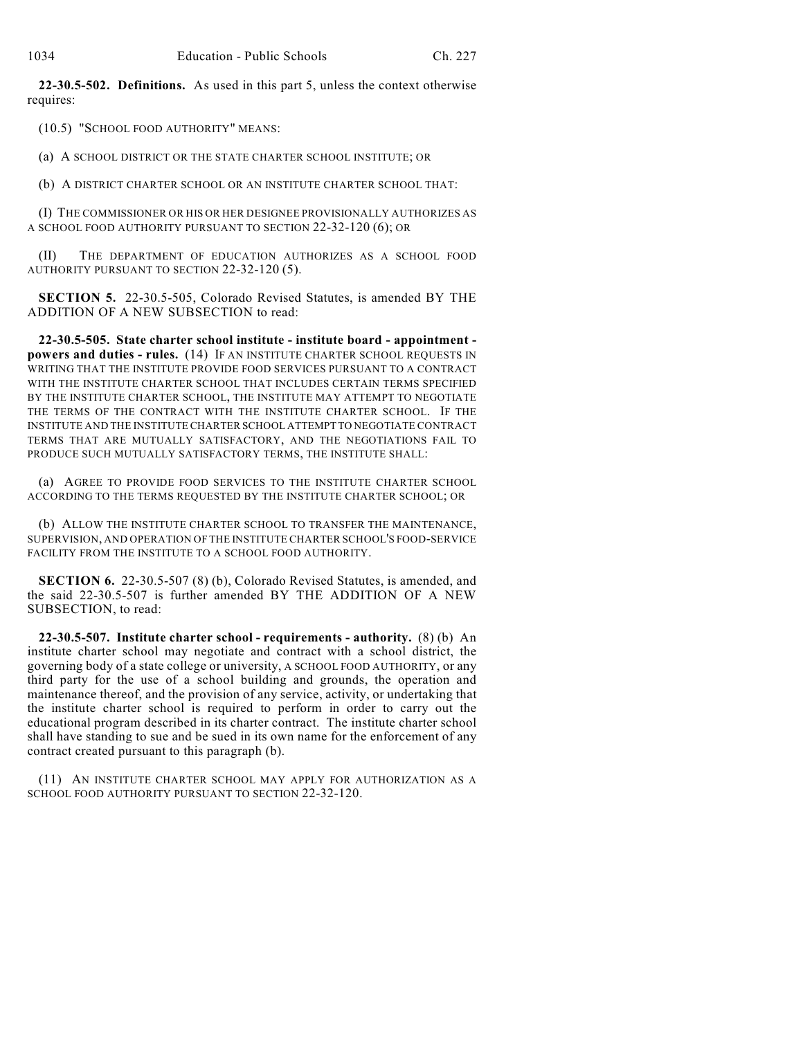**22-30.5-502. Definitions.** As used in this part 5, unless the context otherwise requires:

(10.5) "SCHOOL FOOD AUTHORITY" MEANS:

(a) A SCHOOL DISTRICT OR THE STATE CHARTER SCHOOL INSTITUTE; OR

(b) A DISTRICT CHARTER SCHOOL OR AN INSTITUTE CHARTER SCHOOL THAT:

(I) THE COMMISSIONER OR HIS OR HER DESIGNEE PROVISIONALLY AUTHORIZES AS A SCHOOL FOOD AUTHORITY PURSUANT TO SECTION 22-32-120 (6); OR

(II) THE DEPARTMENT OF EDUCATION AUTHORIZES AS A SCHOOL FOOD AUTHORITY PURSUANT TO SECTION 22-32-120 (5).

**SECTION 5.** 22-30.5-505, Colorado Revised Statutes, is amended BY THE ADDITION OF A NEW SUBSECTION to read:

**22-30.5-505. State charter school institute - institute board - appointment powers and duties - rules.** (14) IF AN INSTITUTE CHARTER SCHOOL REQUESTS IN WRITING THAT THE INSTITUTE PROVIDE FOOD SERVICES PURSUANT TO A CONTRACT WITH THE INSTITUTE CHARTER SCHOOL THAT INCLUDES CERTAIN TERMS SPECIFIED BY THE INSTITUTE CHARTER SCHOOL, THE INSTITUTE MAY ATTEMPT TO NEGOTIATE THE TERMS OF THE CONTRACT WITH THE INSTITUTE CHARTER SCHOOL. IF THE INSTITUTE AND THE INSTITUTE CHARTER SCHOOL ATTEMPT TO NEGOTIATE CONTRACT TERMS THAT ARE MUTUALLY SATISFACTORY, AND THE NEGOTIATIONS FAIL TO PRODUCE SUCH MUTUALLY SATISFACTORY TERMS, THE INSTITUTE SHALL:

(a) AGREE TO PROVIDE FOOD SERVICES TO THE INSTITUTE CHARTER SCHOOL ACCORDING TO THE TERMS REQUESTED BY THE INSTITUTE CHARTER SCHOOL; OR

(b) ALLOW THE INSTITUTE CHARTER SCHOOL TO TRANSFER THE MAINTENANCE, SUPERVISION, AND OPERATION OF THE INSTITUTE CHARTER SCHOOL'S FOOD-SERVICE FACILITY FROM THE INSTITUTE TO A SCHOOL FOOD AUTHORITY.

**SECTION 6.** 22-30.5-507 (8) (b), Colorado Revised Statutes, is amended, and the said 22-30.5-507 is further amended BY THE ADDITION OF A NEW SUBSECTION, to read:

**22-30.5-507. Institute charter school - requirements - authority.** (8) (b) An institute charter school may negotiate and contract with a school district, the governing body of a state college or university, A SCHOOL FOOD AUTHORITY, or any third party for the use of a school building and grounds, the operation and maintenance thereof, and the provision of any service, activity, or undertaking that the institute charter school is required to perform in order to carry out the educational program described in its charter contract. The institute charter school shall have standing to sue and be sued in its own name for the enforcement of any contract created pursuant to this paragraph (b).

(11) AN INSTITUTE CHARTER SCHOOL MAY APPLY FOR AUTHORIZATION AS A SCHOOL FOOD AUTHORITY PURSUANT TO SECTION 22-32-120.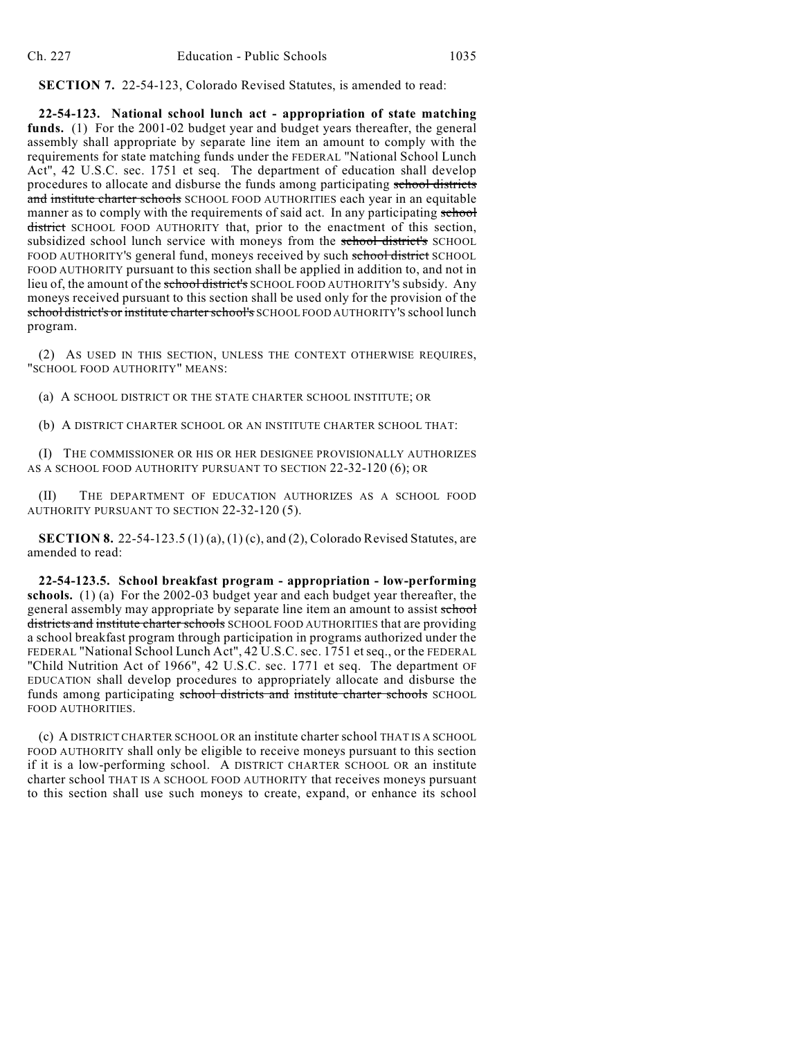**SECTION 7.** 22-54-123, Colorado Revised Statutes, is amended to read:

**22-54-123. National school lunch act - appropriation of state matching funds.** (1) For the 2001-02 budget year and budget years thereafter, the general assembly shall appropriate by separate line item an amount to comply with the requirements for state matching funds under the FEDERAL "National School Lunch Act", 42 U.S.C. sec. 1751 et seq. The department of education shall develop procedures to allocate and disburse the funds among participating school districts and institute charter schools SCHOOL FOOD AUTHORITIES each year in an equitable manner as to comply with the requirements of said act. In any participating school district SCHOOL FOOD AUTHORITY that, prior to the enactment of this section, subsidized school lunch service with moneys from the school district's SCHOOL FOOD AUTHORITY'S general fund, moneys received by such school district SCHOOL FOOD AUTHORITY pursuant to this section shall be applied in addition to, and not in lieu of, the amount of the school district's SCHOOL FOOD AUTHORITY'S subsidy. Any moneys received pursuant to this section shall be used only for the provision of the school district's or institute charter school's SCHOOL FOOD AUTHORITY'S school lunch program.

(2) AS USED IN THIS SECTION, UNLESS THE CONTEXT OTHERWISE REQUIRES, "SCHOOL FOOD AUTHORITY" MEANS:

(a) A SCHOOL DISTRICT OR THE STATE CHARTER SCHOOL INSTITUTE; OR

(b) A DISTRICT CHARTER SCHOOL OR AN INSTITUTE CHARTER SCHOOL THAT:

(I) THE COMMISSIONER OR HIS OR HER DESIGNEE PROVISIONALLY AUTHORIZES AS A SCHOOL FOOD AUTHORITY PURSUANT TO SECTION 22-32-120 (6); OR

(II) THE DEPARTMENT OF EDUCATION AUTHORIZES AS A SCHOOL FOOD AUTHORITY PURSUANT TO SECTION 22-32-120 (5).

**SECTION 8.** 22-54-123.5 (1) (a), (1) (c), and (2), Colorado Revised Statutes, are amended to read:

**22-54-123.5. School breakfast program - appropriation - low-performing schools.** (1) (a) For the 2002-03 budget year and each budget year thereafter, the general assembly may appropriate by separate line item an amount to assist school districts and institute charter schools SCHOOL FOOD AUTHORITIES that are providing a school breakfast program through participation in programs authorized under the FEDERAL "National School Lunch Act", 42 U.S.C. sec. 1751 etseq., or the FEDERAL "Child Nutrition Act of 1966", 42 U.S.C. sec. 1771 et seq. The department OF EDUCATION shall develop procedures to appropriately allocate and disburse the funds among participating school districts and institute charter schools SCHOOL FOOD AUTHORITIES.

(c) A DISTRICT CHARTER SCHOOL OR an institute charter school THAT IS A SCHOOL FOOD AUTHORITY shall only be eligible to receive moneys pursuant to this section if it is a low-performing school. A DISTRICT CHARTER SCHOOL OR an institute charter school THAT IS A SCHOOL FOOD AUTHORITY that receives moneys pursuant to this section shall use such moneys to create, expand, or enhance its school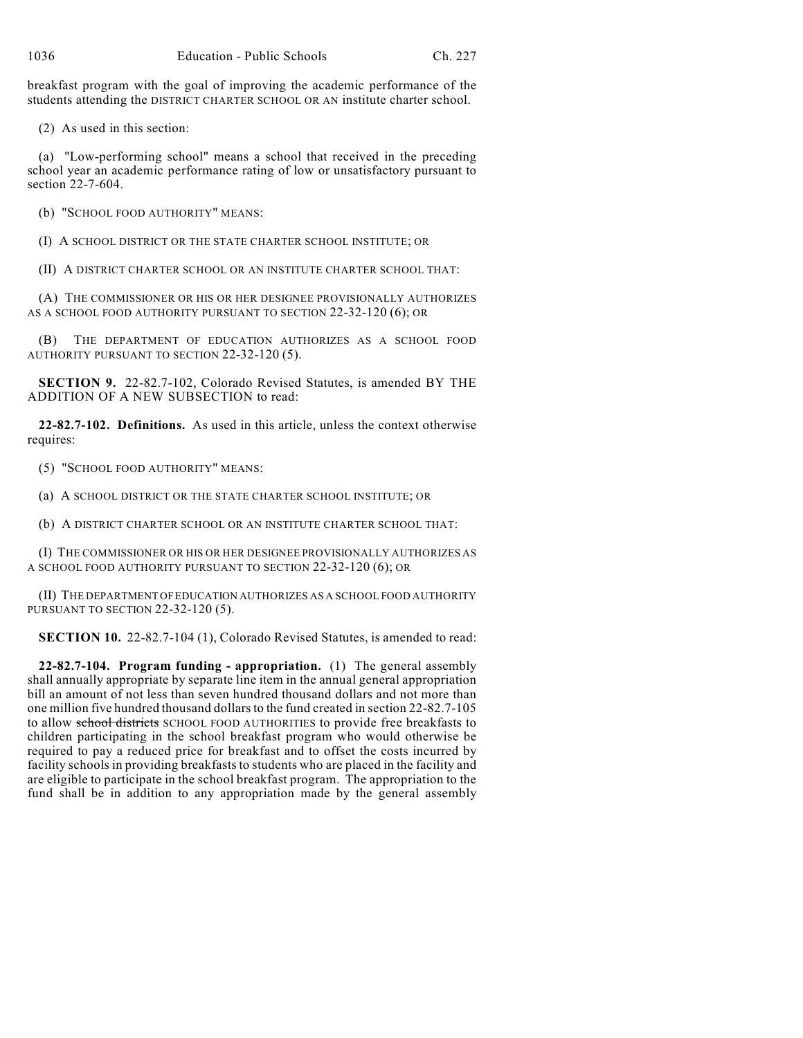breakfast program with the goal of improving the academic performance of the students attending the DISTRICT CHARTER SCHOOL OR AN institute charter school.

(2) As used in this section:

(a) "Low-performing school" means a school that received in the preceding school year an academic performance rating of low or unsatisfactory pursuant to section 22-7-604.

(b) "SCHOOL FOOD AUTHORITY" MEANS:

(I) A SCHOOL DISTRICT OR THE STATE CHARTER SCHOOL INSTITUTE; OR

(II) A DISTRICT CHARTER SCHOOL OR AN INSTITUTE CHARTER SCHOOL THAT:

(A) THE COMMISSIONER OR HIS OR HER DESIGNEE PROVISIONALLY AUTHORIZES AS A SCHOOL FOOD AUTHORITY PURSUANT TO SECTION 22-32-120 (6); OR

(B) THE DEPARTMENT OF EDUCATION AUTHORIZES AS A SCHOOL FOOD AUTHORITY PURSUANT TO SECTION 22-32-120 (5).

**SECTION 9.** 22-82.7-102, Colorado Revised Statutes, is amended BY THE ADDITION OF A NEW SUBSECTION to read:

**22-82.7-102. Definitions.** As used in this article, unless the context otherwise requires:

(5) "SCHOOL FOOD AUTHORITY" MEANS:

(a) A SCHOOL DISTRICT OR THE STATE CHARTER SCHOOL INSTITUTE; OR

(b) A DISTRICT CHARTER SCHOOL OR AN INSTITUTE CHARTER SCHOOL THAT:

(I) THE COMMISSIONER OR HIS OR HER DESIGNEE PROVISIONALLY AUTHORIZES AS A SCHOOL FOOD AUTHORITY PURSUANT TO SECTION 22-32-120 (6); OR

(II) THE DEPARTMENT OF EDUCATION AUTHORIZES AS A SCHOOL FOOD AUTHORITY PURSUANT TO SECTION 22-32-120 (5).

**SECTION 10.** 22-82.7-104 (1), Colorado Revised Statutes, is amended to read:

**22-82.7-104. Program funding - appropriation.** (1) The general assembly shall annually appropriate by separate line item in the annual general appropriation bill an amount of not less than seven hundred thousand dollars and not more than one million five hundred thousand dollars to the fund created in section 22-82.7-105 to allow school districts SCHOOL FOOD AUTHORITIES to provide free breakfasts to children participating in the school breakfast program who would otherwise be required to pay a reduced price for breakfast and to offset the costs incurred by facility schools in providing breakfasts to students who are placed in the facility and are eligible to participate in the school breakfast program. The appropriation to the fund shall be in addition to any appropriation made by the general assembly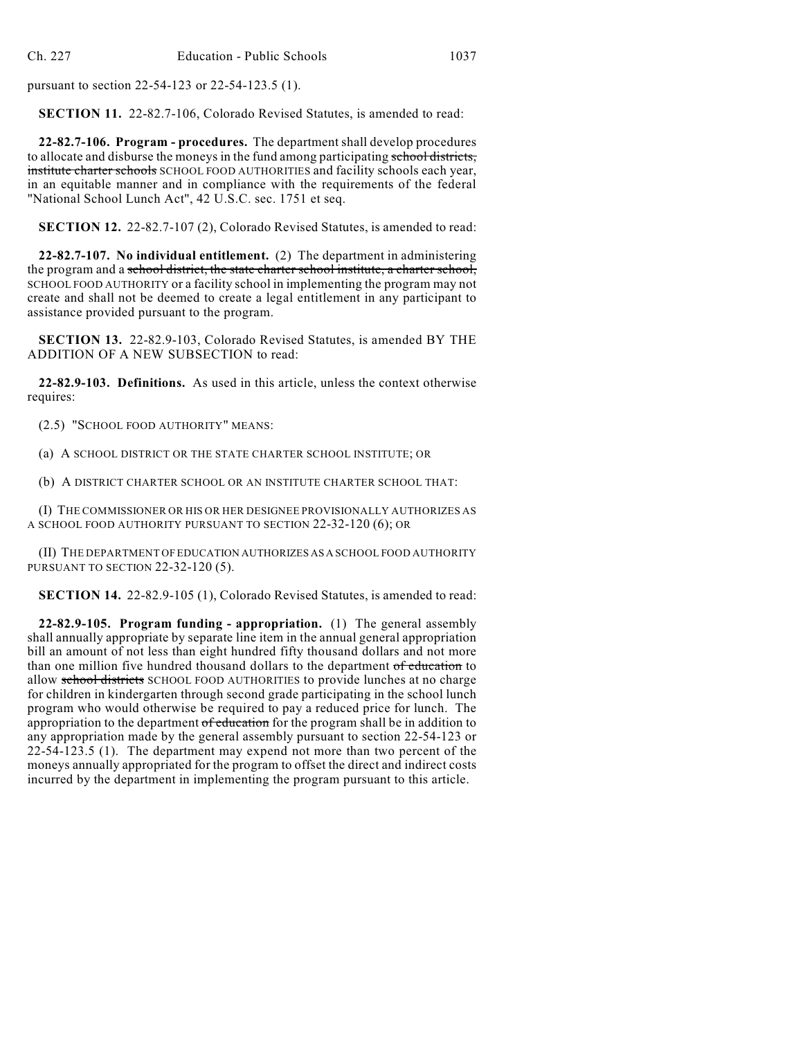pursuant to section 22-54-123 or 22-54-123.5 (1).

**SECTION 11.** 22-82.7-106, Colorado Revised Statutes, is amended to read:

**22-82.7-106. Program - procedures.** The department shall develop procedures to allocate and disburse the moneys in the fund among participating school districts, institute charter schools SCHOOL FOOD AUTHORITIES and facility schools each year, in an equitable manner and in compliance with the requirements of the federal "National School Lunch Act", 42 U.S.C. sec. 1751 et seq.

**SECTION 12.** 22-82.7-107 (2), Colorado Revised Statutes, is amended to read:

**22-82.7-107. No individual entitlement.** (2) The department in administering the program and a school district, the state charter school institute, a charter school, SCHOOL FOOD AUTHORITY or a facility school in implementing the program may not create and shall not be deemed to create a legal entitlement in any participant to assistance provided pursuant to the program.

**SECTION 13.** 22-82.9-103, Colorado Revised Statutes, is amended BY THE ADDITION OF A NEW SUBSECTION to read:

**22-82.9-103. Definitions.** As used in this article, unless the context otherwise requires:

(2.5) "SCHOOL FOOD AUTHORITY" MEANS:

(a) A SCHOOL DISTRICT OR THE STATE CHARTER SCHOOL INSTITUTE; OR

(b) A DISTRICT CHARTER SCHOOL OR AN INSTITUTE CHARTER SCHOOL THAT:

(I) THE COMMISSIONER OR HIS OR HER DESIGNEE PROVISIONALLY AUTHORIZES AS A SCHOOL FOOD AUTHORITY PURSUANT TO SECTION 22-32-120 (6); OR

(II) THE DEPARTMENT OF EDUCATION AUTHORIZES AS A SCHOOL FOOD AUTHORITY PURSUANT TO SECTION 22-32-120 (5).

**SECTION 14.** 22-82.9-105 (1), Colorado Revised Statutes, is amended to read:

**22-82.9-105. Program funding - appropriation.** (1) The general assembly shall annually appropriate by separate line item in the annual general appropriation bill an amount of not less than eight hundred fifty thousand dollars and not more than one million five hundred thousand dollars to the department of education to allow school districts SCHOOL FOOD AUTHORITIES to provide lunches at no charge for children in kindergarten through second grade participating in the school lunch program who would otherwise be required to pay a reduced price for lunch. The appropriation to the department of education for the program shall be in addition to any appropriation made by the general assembly pursuant to section 22-54-123 or 22-54-123.5 (1). The department may expend not more than two percent of the moneys annually appropriated for the program to offset the direct and indirect costs incurred by the department in implementing the program pursuant to this article.